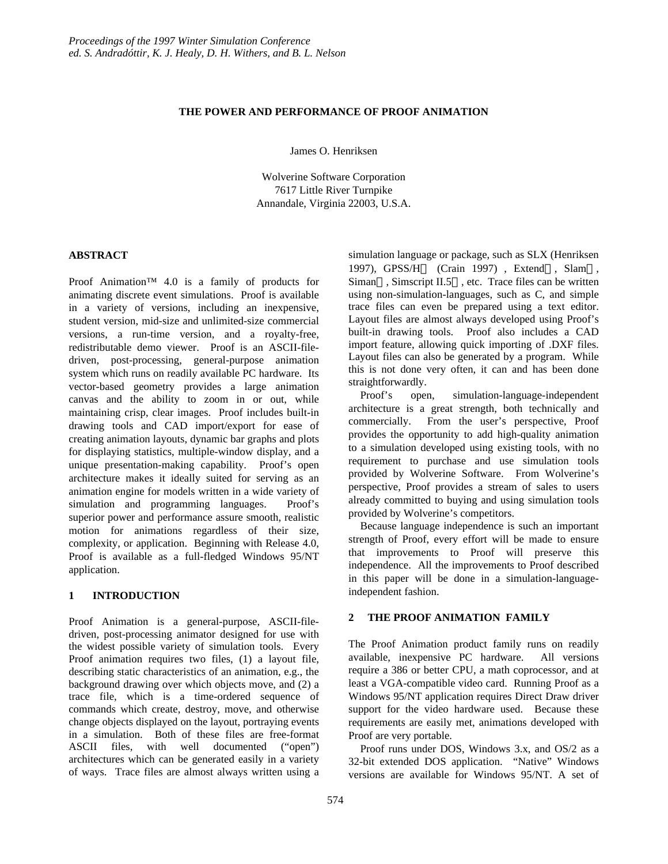## **THE POWER AND PERFORMANCE OF PROOF ANIMATION**

James O. Henriksen

Wolverine Software Corporation 7617 Little River Turnpike Annandale, Virginia 22003, U.S.A.

## **ABSTRACT**

Proof Animation™ 4.0 is a family of products for animating discrete event simulations. Proof is available in a variety of versions, including an inexpensive, student version, mid-size and unlimited-size commercial versions, a run-time version, and a royalty-free, redistributable demo viewer. Proof is an ASCII-filedriven, post-processing, general-purpose animation system which runs on readily available PC hardware. Its vector-based geometry provides a large animation canvas and the ability to zoom in or out, while maintaining crisp, clear images. Proof includes built-in drawing tools and CAD import/export for ease of creating animation layouts, dynamic bar graphs and plots for displaying statistics, multiple-window display, and a unique presentation-making capability. Proof's open architecture makes it ideally suited for serving as an animation engine for models written in a wide variety of simulation and programming languages. Proof's superior power and performance assure smooth, realistic motion for animations regardless of their size, complexity, or application. Beginning with Release 4.0, Proof is available as a full-fledged Windows 95/NT application.

# **1 INTRODUCTION**

Proof Animation is a general-purpose, ASCII-filedriven, post-processing animator designed for use with the widest possible variety of simulation tools. Every Proof animation requires two files, (1) a layout file, describing static characteristics of an animation, e.g., the background drawing over which objects move, and (2) a trace file, which is a time-ordered sequence of commands which create, destroy, move, and otherwise change objects displayed on the layout, portraying events in a simulation. Both of these files are free-format ASCII files, with well documented ("open") architectures which can be generated easily in a variety of ways. Trace files are almost always written using a

simulation language or package, such as SLX (Henriksen 1997), GPSS/H<sup>TM</sup> (Crain 1997), Extend<sup>TM</sup>, Slam<sup>TM</sup>,  $Siman^{TM}$ , Simscript II.5<sup>TM</sup>, etc. Trace files can be written using non-simulation-languages, such as C, and simple trace files can even be prepared using a text editor. Layout files are almost always developed using Proof's built-in drawing tools. Proof also includes a CAD import feature, allowing quick importing of .DXF files. Layout files can also be generated by a program. While this is not done very often, it can and has been done straightforwardly.

Proof's open, simulation-language-independent architecture is a great strength, both technically and commercially. From the user's perspective, Proof provides the opportunity to add high-quality animation to a simulation developed using existing tools, with no requirement to purchase and use simulation tools provided by Wolverine Software. From Wolverine's perspective, Proof provides a stream of sales to users already committed to buying and using simulation tools provided by Wolverine's competitors.

Because language independence is such an important strength of Proof, every effort will be made to ensure that improvements to Proof will preserve this independence. All the improvements to Proof described in this paper will be done in a simulation-languageindependent fashion.

# **2 THE PROOF ANIMATION FAMILY**

The Proof Animation product family runs on readily available, inexpensive PC hardware. All versions require a 386 or better CPU, a math coprocessor, and at least a VGA-compatible video card. Running Proof as a Windows 95/NT application requires Direct Draw driver support for the video hardware used. Because these requirements are easily met, animations developed with Proof are very portable.

Proof runs under DOS, Windows 3.x, and OS/2 as a 32-bit extended DOS application. "Native" Windows versions are available for Windows 95/NT. A set of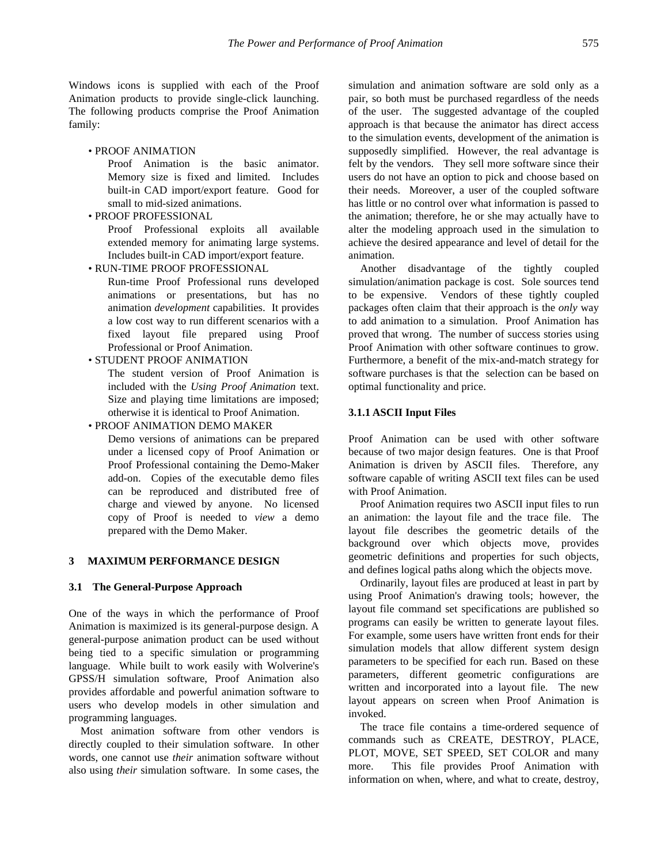Windows icons is supplied with each of the Proof Animation products to provide single-click launching. The following products comprise the Proof Animation family:

• PROOF ANIMATION

Proof Animation is the basic animator. Memory size is fixed and limited. Includes built-in CAD import/export feature. Good for small to mid-sized animations.

• PROOF PROFESSIONAL

Proof Professional exploits all available extended memory for animating large systems. Includes built-in CAD import/export feature.

• RUN-TIME PROOF PROFESSIONAL

Run-time Proof Professional runs developed animations or presentations, but has no animation *development* capabilities. It provides a low cost way to run different scenarios with a fixed layout file prepared using Proof Professional or Proof Animation.

• STUDENT PROOF ANIMATION

The student version of Proof Animation is included with the *Using Proof Animation* text. Size and playing time limitations are imposed; otherwise it is identical to Proof Animation.

• PROOF ANIMATION DEMO MAKER

Demo versions of animations can be prepared under a licensed copy of Proof Animation or Proof Professional containing the Demo-Maker add-on. Copies of the executable demo files can be reproduced and distributed free of charge and viewed by anyone. No licensed copy of Proof is needed to *view* a demo prepared with the Demo Maker.

#### **3 MAXIMUM PERFORMANCE DESIGN**

### **3.1 The General-Purpose Approach**

One of the ways in which the performance of Proof Animation is maximized is its general-purpose design. A general-purpose animation product can be used without being tied to a specific simulation or programming language. While built to work easily with Wolverine's GPSS/H simulation software, Proof Animation also provides affordable and powerful animation software to users who develop models in other simulation and programming languages.

Most animation software from other vendors is directly coupled to their simulation software. In other words, one cannot use *their* animation software without also using *their* simulation software. In some cases, the simulation and animation software are sold only as a pair, so both must be purchased regardless of the needs of the user. The suggested advantage of the coupled approach is that because the animator has direct access to the simulation events, development of the animation is supposedly simplified. However, the real advantage is felt by the vendors. They sell more software since their users do not have an option to pick and choose based on their needs. Moreover, a user of the coupled software has little or no control over what information is passed to the animation; therefore, he or she may actually have to alter the modeling approach used in the simulation to achieve the desired appearance and level of detail for the animation.

Another disadvantage of the tightly coupled simulation/animation package is cost. Sole sources tend to be expensive. Vendors of these tightly coupled packages often claim that their approach is the *only* way to add animation to a simulation. Proof Animation has proved that wrong. The number of success stories using Proof Animation with other software continues to grow. Furthermore, a benefit of the mix-and-match strategy for software purchases is that the selection can be based on optimal functionality and price.

# **3.1.1 ASCII Input Files**

Proof Animation can be used with other software because of two major design features. One is that Proof Animation is driven by ASCII files. Therefore, any software capable of writing ASCII text files can be used with Proof Animation.

Proof Animation requires two ASCII input files to run an animation: the layout file and the trace file. The layout file describes the geometric details of the background over which objects move, provides geometric definitions and properties for such objects, and defines logical paths along which the objects move.

Ordinarily, layout files are produced at least in part by using Proof Animation's drawing tools; however, the layout file command set specifications are published so programs can easily be written to generate layout files. For example, some users have written front ends for their simulation models that allow different system design parameters to be specified for each run. Based on these parameters, different geometric configurations are written and incorporated into a layout file. The new layout appears on screen when Proof Animation is invoked.

The trace file contains a time-ordered sequence of commands such as CREATE, DESTROY, PLACE, PLOT, MOVE, SET SPEED, SET COLOR and many more. This file provides Proof Animation with information on when, where, and what to create, destroy,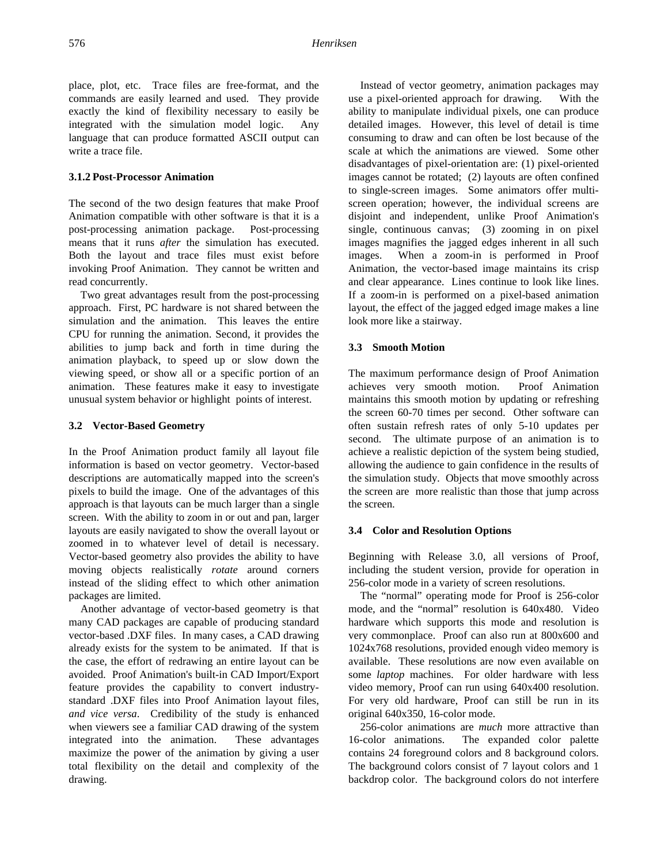place, plot, etc. Trace files are free-format, and the commands are easily learned and used. They provide exactly the kind of flexibility necessary to easily be integrated with the simulation model logic. Any language that can produce formatted ASCII output can write a trace file.

### **3.1.2 Post-Processor Animation**

The second of the two design features that make Proof Animation compatible with other software is that it is a post-processing animation package. Post-processing means that it runs *after* the simulation has executed. Both the layout and trace files must exist before invoking Proof Animation. They cannot be written and read concurrently.

Two great advantages result from the post-processing approach. First, PC hardware is not shared between the simulation and the animation. This leaves the entire CPU for running the animation. Second, it provides the abilities to jump back and forth in time during the animation playback, to speed up or slow down the viewing speed, or show all or a specific portion of an animation. These features make it easy to investigate unusual system behavior or highlight points of interest.

#### **3.2 Vector-Based Geometry**

In the Proof Animation product family all layout file information is based on vector geometry. Vector-based descriptions are automatically mapped into the screen's pixels to build the image. One of the advantages of this approach is that layouts can be much larger than a single screen. With the ability to zoom in or out and pan, larger layouts are easily navigated to show the overall layout or zoomed in to whatever level of detail is necessary. Vector-based geometry also provides the ability to have moving objects realistically *rotate* around corners instead of the sliding effect to which other animation packages are limited.

Another advantage of vector-based geometry is that many CAD packages are capable of producing standard vector-based .DXF files. In many cases, a CAD drawing already exists for the system to be animated. If that is the case, the effort of redrawing an entire layout can be avoided. Proof Animation's built-in CAD Import/Export feature provides the capability to convert industrystandard .DXF files into Proof Animation layout files, *and vice versa*. Credibility of the study is enhanced when viewers see a familiar CAD drawing of the system integrated into the animation. These advantages maximize the power of the animation by giving a user total flexibility on the detail and complexity of the drawing.

Instead of vector geometry, animation packages may use a pixel-oriented approach for drawing. With the ability to manipulate individual pixels, one can produce detailed images. However, this level of detail is time consuming to draw and can often be lost because of the scale at which the animations are viewed. Some other disadvantages of pixel-orientation are: (1) pixel-oriented images cannot be rotated; (2) layouts are often confined to single-screen images. Some animators offer multiscreen operation; however, the individual screens are disjoint and independent, unlike Proof Animation's single, continuous canvas; (3) zooming in on pixel images magnifies the jagged edges inherent in all such images. When a zoom-in is performed in Proof Animation, the vector-based image maintains its crisp and clear appearance. Lines continue to look like lines. If a zoom-in is performed on a pixel-based animation layout, the effect of the jagged edged image makes a line look more like a stairway.

### **3.3 Smooth Motion**

The maximum performance design of Proof Animation achieves very smooth motion. Proof Animation maintains this smooth motion by updating or refreshing the screen 60-70 times per second. Other software can often sustain refresh rates of only 5-10 updates per second. The ultimate purpose of an animation is to achieve a realistic depiction of the system being studied, allowing the audience to gain confidence in the results of the simulation study. Objects that move smoothly across the screen are more realistic than those that jump across the screen.

### **3.4 Color and Resolution Options**

Beginning with Release 3.0, all versions of Proof, including the student version, provide for operation in 256-color mode in a variety of screen resolutions.

The "normal" operating mode for Proof is 256-color mode, and the "normal" resolution is 640x480. Video hardware which supports this mode and resolution is very commonplace. Proof can also run at 800x600 and 1024x768 resolutions, provided enough video memory is available. These resolutions are now even available on some *laptop* machines. For older hardware with less video memory, Proof can run using 640x400 resolution. For very old hardware, Proof can still be run in its original 640x350, 16-color mode.

256-color animations are *much* more attractive than 16-color animations. The expanded color palette contains 24 foreground colors and 8 background colors. The background colors consist of 7 layout colors and 1 backdrop color. The background colors do not interfere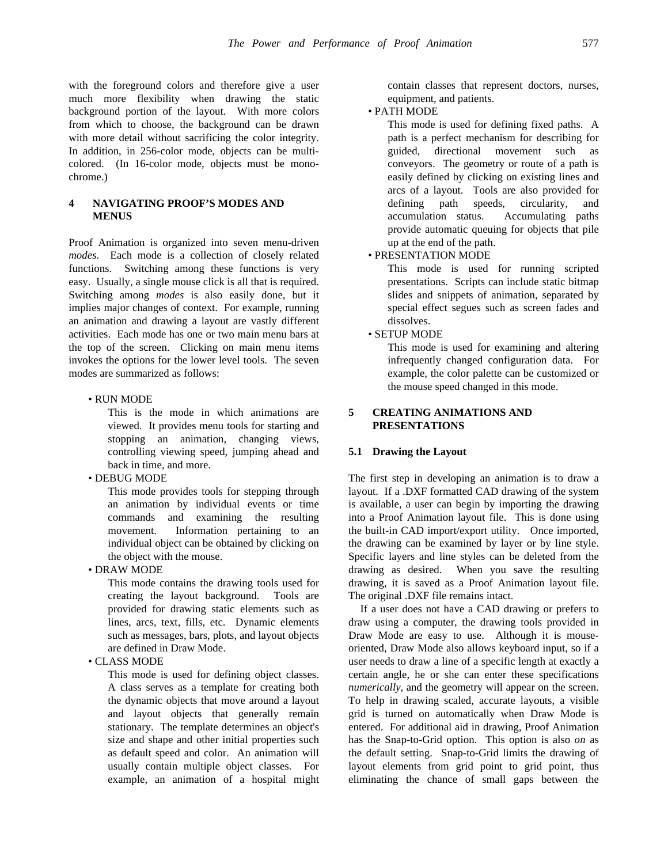with the foreground colors and therefore give a user much more flexibility when drawing the static background portion of the layout. With more colors from which to choose, the background can be drawn with more detail without sacrificing the color integrity. In addition, in 256-color mode, objects can be multicolored. (In 16-color mode, objects must be monochrome.)

# **4 NAVIGATING PROOF'S MODES AND MENUS**

Proof Animation is organized into seven menu-driven *modes*. Each mode is a collection of closely related functions. Switching among these functions is very easy. Usually, a single mouse click is all that is required. Switching among *modes* is also easily done, but it implies major changes of context. For example, running an animation and drawing a layout are vastly different activities. Each mode has one or two main menu bars at the top of the screen. Clicking on main menu items invokes the options for the lower level tools. The seven modes are summarized as follows:

#### • RUN MODE

This is the mode in which animations are viewed. It provides menu tools for starting and stopping an animation, changing views, controlling viewing speed, jumping ahead and back in time, and more.

### • DEBUG MODE

This mode provides tools for stepping through an animation by individual events or time commands and examining the resulting movement. Information pertaining to an individual object can be obtained by clicking on the object with the mouse.

# • DRAW MODE

This mode contains the drawing tools used for creating the layout background. Tools are provided for drawing static elements such as lines, arcs, text, fills, etc. Dynamic elements such as messages, bars, plots, and layout objects are defined in Draw Mode.

## • CLASS MODE

This mode is used for defining object classes. A class serves as a template for creating both the dynamic objects that move around a layout and layout objects that generally remain stationary. The template determines an object's size and shape and other initial properties such as default speed and color. An animation will usually contain multiple object classes. For example, an animation of a hospital might contain classes that represent doctors, nurses, equipment, and patients.

#### • PATH MODE

This mode is used for defining fixed paths. A path is a perfect mechanism for describing for guided, directional movement such as conveyors. The geometry or route of a path is easily defined by clicking on existing lines and arcs of a layout. Tools are also provided for defining path speeds, circularity, and accumulation status. Accumulating paths provide automatic queuing for objects that pile up at the end of the path.

## • PRESENTATION MODE

This mode is used for running scripted presentations. Scripts can include static bitmap slides and snippets of animation, separated by special effect segues such as screen fades and dissolves.

#### • SETUP MODE

This mode is used for examining and altering infrequently changed configuration data. For example, the color palette can be customized or the mouse speed changed in this mode.

# **5 CREATING ANIMATIONS AND PRESENTATIONS**

### **5.1 Drawing the Layout**

The first step in developing an animation is to draw a layout. If a .DXF formatted CAD drawing of the system is available, a user can begin by importing the drawing into a Proof Animation layout file. This is done using the built-in CAD import/export utility. Once imported, the drawing can be examined by layer or by line style. Specific layers and line styles can be deleted from the drawing as desired. When you save the resulting drawing, it is saved as a Proof Animation layout file. The original .DXF file remains intact.

If a user does not have a CAD drawing or prefers to draw using a computer, the drawing tools provided in Draw Mode are easy to use. Although it is mouseoriented, Draw Mode also allows keyboard input, so if a user needs to draw a line of a specific length at exactly a certain angle, he or she can enter these specifications *numerically,* and the geometry will appear on the screen. To help in drawing scaled, accurate layouts, a visible grid is turned on automatically when Draw Mode is entered. For additional aid in drawing, Proof Animation has the Snap-to-Grid option. This option is also *on* as the default setting. Snap-to-Grid limits the drawing of layout elements from grid point to grid point, thus eliminating the chance of small gaps between the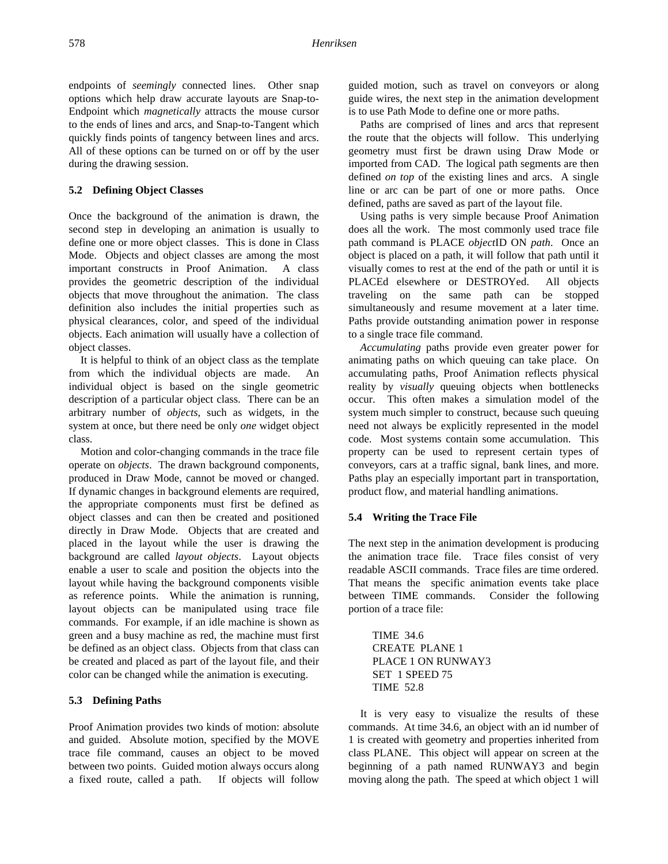endpoints of *seemingly* connected lines. Other snap options which help draw accurate layouts are Snap-to-Endpoint which *magnetically* attracts the mouse cursor to the ends of lines and arcs, and Snap-to-Tangent which quickly finds points of tangency between lines and arcs. All of these options can be turned on or off by the user during the drawing session.

## **5.2 Defining Object Classes**

Once the background of the animation is drawn, the second step in developing an animation is usually to define one or more object classes. This is done in Class Mode. Objects and object classes are among the most important constructs in Proof Animation. A class provides the geometric description of the individual objects that move throughout the animation. The class definition also includes the initial properties such as physical clearances, color, and speed of the individual objects. Each animation will usually have a collection of object classes.

It is helpful to think of an object class as the template from which the individual objects are made. An individual object is based on the single geometric description of a particular object class. There can be an arbitrary number of *objects*, such as widgets, in the system at once, but there need be only *one* widget object class.

Motion and color-changing commands in the trace file operate on *objects*. The drawn background components, produced in Draw Mode, cannot be moved or changed. If dynamic changes in background elements are required, the appropriate components must first be defined as object classes and can then be created and positioned directly in Draw Mode. Objects that are created and placed in the layout while the user is drawing the background are called *layout objects*. Layout objects enable a user to scale and position the objects into the layout while having the background components visible as reference points. While the animation is running, layout objects can be manipulated using trace file commands. For example, if an idle machine is shown as green and a busy machine as red, the machine must first be defined as an object class. Objects from that class can be created and placed as part of the layout file, and their color can be changed while the animation is executing.

# **5.3 Defining Paths**

Proof Animation provides two kinds of motion: absolute and guided. Absolute motion, specified by the MOVE trace file command, causes an object to be moved between two points. Guided motion always occurs along a fixed route, called a path. If objects will follow

guided motion, such as travel on conveyors or along guide wires, the next step in the animation development is to use Path Mode to define one or more paths.

Paths are comprised of lines and arcs that represent the route that the objects will follow. This underlying geometry must first be drawn using Draw Mode or imported from CAD. The logical path segments are then defined *on top* of the existing lines and arcs. A single line or arc can be part of one or more paths. Once defined, paths are saved as part of the layout file.

Using paths is very simple because Proof Animation does all the work. The most commonly used trace file path command is PLACE *object*ID ON *path*. Once an object is placed on a path, it will follow that path until it visually comes to rest at the end of the path or until it is PLACEd elsewhere or DESTROYed. All objects traveling on the same path can be stopped simultaneously and resume movement at a later time. Paths provide outstanding animation power in response to a single trace file command.

*Accumulating* paths provide even greater power for animating paths on which queuing can take place. On accumulating paths, Proof Animation reflects physical reality by *visually* queuing objects when bottlenecks occur. This often makes a simulation model of the system much simpler to construct, because such queuing need not always be explicitly represented in the model code. Most systems contain some accumulation. This property can be used to represent certain types of conveyors, cars at a traffic signal, bank lines, and more. Paths play an especially important part in transportation, product flow, and material handling animations.

### **5.4 Writing the Trace File**

The next step in the animation development is producing the animation trace file. Trace files consist of very readable ASCII commands. Trace files are time ordered. That means the specific animation events take place between TIME commands. Consider the following portion of a trace file:

TIME 34.6 CREATE PLANE 1 PLACE 1 ON RUNWAY3 SET 1 SPEED 75 TIME 52.8

It is very easy to visualize the results of these commands. At time 34.6, an object with an id number of 1 is created with geometry and properties inherited from class PLANE. This object will appear on screen at the beginning of a path named RUNWAY3 and begin moving along the path. The speed at which object 1 will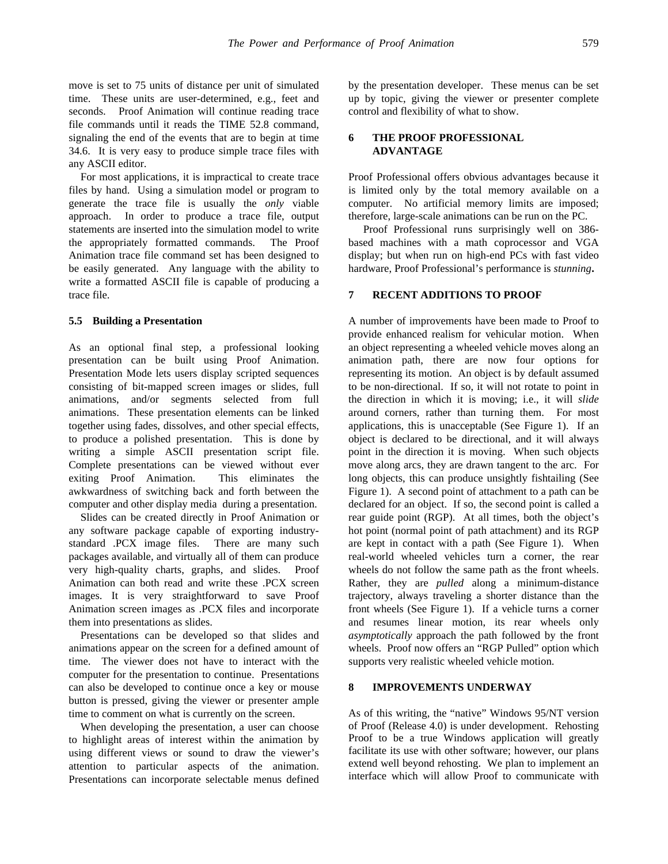move is set to 75 units of distance per unit of simulated time. These units are user-determined, e.g., feet and seconds. Proof Animation will continue reading trace file commands until it reads the TIME 52.8 command, signaling the end of the events that are to begin at time 34.6. It is very easy to produce simple trace files with any ASCII editor.

For most applications, it is impractical to create trace files by hand. Using a simulation model or program to generate the trace file is usually the *only* viable approach. In order to produce a trace file, output statements are inserted into the simulation model to write the appropriately formatted commands. The Proof Animation trace file command set has been designed to be easily generated. Any language with the ability to write a formatted ASCII file is capable of producing a trace file.

#### **5.5 Building a Presentation**

As an optional final step, a professional looking presentation can be built using Proof Animation. Presentation Mode lets users display scripted sequences consisting of bit-mapped screen images or slides, full animations, and/or segments selected from full animations. These presentation elements can be linked together using fades, dissolves, and other special effects, to produce a polished presentation. This is done by writing a simple ASCII presentation script file. Complete presentations can be viewed without ever exiting Proof Animation. This eliminates the awkwardness of switching back and forth between the computer and other display media during a presentation.

Slides can be created directly in Proof Animation or any software package capable of exporting industrystandard .PCX image files. There are many such packages available, and virtually all of them can produce very high-quality charts, graphs, and slides. Proof Animation can both read and write these .PCX screen images. It is very straightforward to save Proof Animation screen images as .PCX files and incorporate them into presentations as slides.

Presentations can be developed so that slides and animations appear on the screen for a defined amount of time. The viewer does not have to interact with the computer for the presentation to continue. Presentations can also be developed to continue once a key or mouse button is pressed, giving the viewer or presenter ample time to comment on what is currently on the screen.

When developing the presentation, a user can choose to highlight areas of interest within the animation by using different views or sound to draw the viewer's attention to particular aspects of the animation. Presentations can incorporate selectable menus defined by the presentation developer. These menus can be set up by topic, giving the viewer or presenter complete control and flexibility of what to show.

# **6 THE PROOF PROFESSIONAL ADVANTAGE**

Proof Professional offers obvious advantages because it is limited only by the total memory available on a computer. No artificial memory limits are imposed; therefore, large-scale animations can be run on the PC.

Proof Professional runs surprisingly well on 386 based machines with a math coprocessor and VGA display; but when run on high-end PCs with fast video hardware, Proof Professional's performance is *stunning***.**

# **7 RECENT ADDITIONS TO PROOF**

A number of improvements have been made to Proof to provide enhanced realism for vehicular motion. When an object representing a wheeled vehicle moves along an animation path, there are now four options for representing its motion. An object is by default assumed to be non-directional. If so, it will not rotate to point in the direction in which it is moving; i.e., it will *slide* around corners, rather than turning them. For most applications, this is unacceptable (See Figure 1). If an object is declared to be directional, and it will always point in the direction it is moving. When such objects move along arcs, they are drawn tangent to the arc. For long objects, this can produce unsightly fishtailing (See Figure 1). A second point of attachment to a path can be declared for an object. If so, the second point is called a rear guide point (RGP). At all times, both the object's hot point (normal point of path attachment) and its RGP are kept in contact with a path (See Figure 1). When real-world wheeled vehicles turn a corner, the rear wheels do not follow the same path as the front wheels. Rather, they are *pulled* along a minimum-distance trajectory, always traveling a shorter distance than the front wheels (See Figure 1). If a vehicle turns a corner and resumes linear motion, its rear wheels only *asymptotically* approach the path followed by the front wheels. Proof now offers an "RGP Pulled" option which supports very realistic wheeled vehicle motion.

#### **8 IMPROVEMENTS UNDERWAY**

As of this writing, the "native" Windows 95/NT version of Proof (Release 4.0) is under development. Rehosting Proof to be a true Windows application will greatly facilitate its use with other software; however, our plans extend well beyond rehosting. We plan to implement an interface which will allow Proof to communicate with